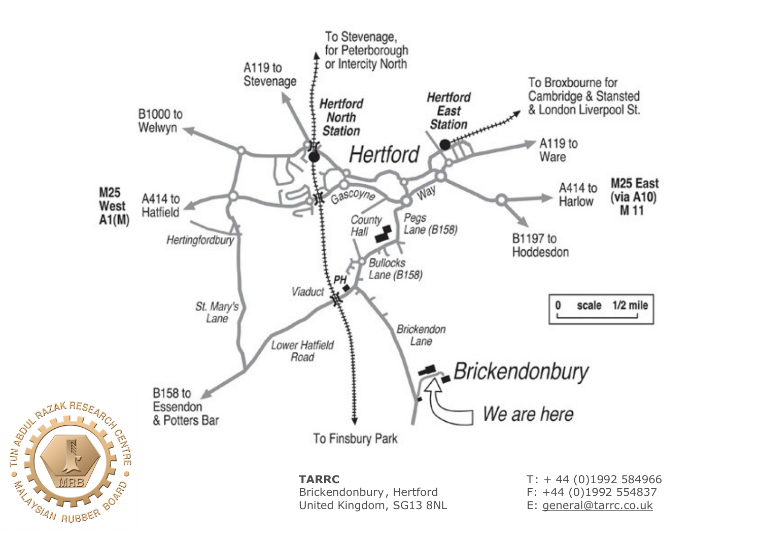

 $\overline{\bigcirc}$